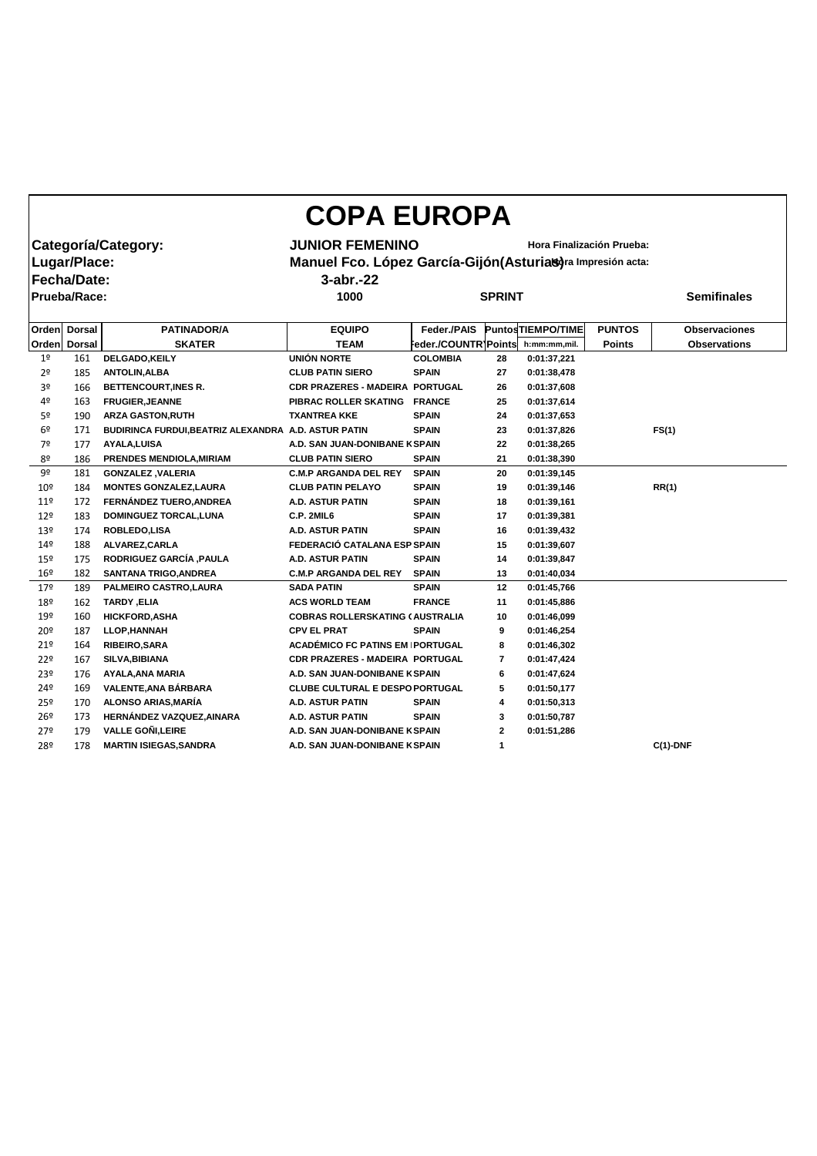| <b>COPA EUROPA</b> |                     |                                                      |                                                              |                      |               |                                  |               |                      |  |  |  |  |  |
|--------------------|---------------------|------------------------------------------------------|--------------------------------------------------------------|----------------------|---------------|----------------------------------|---------------|----------------------|--|--|--|--|--|
|                    |                     | Categoría/Category:                                  | <b>JUNIOR FEMENINO</b>                                       |                      |               | <b>Hora Finalización Prueba:</b> |               |                      |  |  |  |  |  |
|                    | Lugar/Place:        |                                                      | Manuel Fco. López García-Gijón (Asturias) ra Impresión acta: |                      |               |                                  |               |                      |  |  |  |  |  |
|                    | <b>Fecha/Date:</b>  |                                                      | $3$ -abr.-22                                                 |                      |               |                                  |               |                      |  |  |  |  |  |
|                    |                     |                                                      |                                                              |                      |               |                                  |               | <b>Semifinales</b>   |  |  |  |  |  |
|                    | <b>Prueba/Race:</b> |                                                      | 1000                                                         |                      | <b>SPRINT</b> |                                  |               |                      |  |  |  |  |  |
| <b>Orden</b>       | <b>Dorsal</b>       | <b>PATINADOR/A</b>                                   | <b>EQUIPO</b>                                                | Feder./PAIS          |               | <b>PuntosTIEMPO/TIME</b>         | <b>PUNTOS</b> | <b>Observaciones</b> |  |  |  |  |  |
| <b>Orden</b>       | <b>Dorsal</b>       | <b>SKATER</b>                                        | <b>TEAM</b>                                                  | eder./COUNTR' Points |               | h:mm:mm,mil.                     | <b>Points</b> | <b>Observations</b>  |  |  |  |  |  |
| 1 <sup>°</sup>     | 161                 | DELGADO, KEILY                                       | <b>UNIÓN NORTE</b>                                           | <b>COLOMBIA</b>      | 28            | 0:01:37,221                      |               |                      |  |  |  |  |  |
| 2 <sup>o</sup>     | 185                 | <b>ANTOLIN, ALBA</b>                                 | <b>CLUB PATIN SIERO</b>                                      | <b>SPAIN</b>         | 27            | 0:01:38,478                      |               |                      |  |  |  |  |  |
| 3º                 | 166                 | <b>BETTENCOURT, INES R.</b>                          | <b>CDR PRAZERES - MADEIRA PORTUGAL</b>                       |                      | 26            | 0:01:37,608                      |               |                      |  |  |  |  |  |
| 4º                 | 163                 | <b>FRUGIER, JEANNE</b>                               | PIBRAC ROLLER SKATING FRANCE                                 |                      | 25            | 0:01:37,614                      |               |                      |  |  |  |  |  |
| 5º                 | 190                 | <b>ARZA GASTON, RUTH</b>                             | <b>TXANTREA KKE</b>                                          | <b>SPAIN</b>         | 24            | 0:01:37,653                      |               |                      |  |  |  |  |  |
| 6º                 | 171                 | BUDIRINCA FURDUI, BEATRIZ ALEXANDRA A.D. ASTUR PATIN |                                                              | <b>SPAIN</b>         | 23            | 0:01:37,826                      |               | FS(1)                |  |  |  |  |  |
| 7º                 | 177                 | <b>AYALA, LUISA</b>                                  | A.D. SAN JUAN-DONIBANE K SPAIN                               |                      | 22            | 0:01:38,265                      |               |                      |  |  |  |  |  |
| 8º                 | 186                 | PRENDES MENDIOLA, MIRIAM                             | <b>CLUB PATIN SIERO</b>                                      | <b>SPAIN</b>         | 21            | 0:01:38,390                      |               |                      |  |  |  |  |  |
| 9º                 | 181                 | <b>GONZALEZ, VALERIA</b>                             | <b>C.M.P ARGANDA DEL REY</b>                                 | <b>SPAIN</b>         | 20            | 0:01:39,145                      |               |                      |  |  |  |  |  |
| 10 <sup>°</sup>    | 184                 | <b>MONTES GONZALEZ, LAURA</b>                        | <b>CLUB PATIN PELAYO</b>                                     | <b>SPAIN</b>         | 19            | 0:01:39,146                      |               | RR(1)                |  |  |  |  |  |
| 119                | 172                 | <b>FERNÁNDEZ TUERO, ANDREA</b>                       | <b>A.D. ASTUR PATIN</b>                                      | <b>SPAIN</b>         | 18            | 0:01:39,161                      |               |                      |  |  |  |  |  |
| 12 <sup>°</sup>    | 183                 | <b>DOMINGUEZ TORCAL, LUNA</b>                        | C.P. 2MIL6                                                   | <b>SPAIN</b>         | 17            | 0:01:39,381                      |               |                      |  |  |  |  |  |
| 13º                | 174                 | <b>ROBLEDO,LISA</b>                                  | <b>A.D. ASTUR PATIN</b>                                      | <b>SPAIN</b>         | 16            | 0:01:39,432                      |               |                      |  |  |  |  |  |
| 14º                | 188                 | ALVAREZ, CARLA                                       | FEDERACIÓ CATALANA ESP SPAIN                                 |                      | 15            | 0:01:39,607                      |               |                      |  |  |  |  |  |
| 15º                | 175                 | RODRIGUEZ GARCÍA , PAULA                             | <b>A.D. ASTUR PATIN</b>                                      | <b>SPAIN</b>         | 14            | 0:01:39,847                      |               |                      |  |  |  |  |  |
| 16 <sup>°</sup>    | 182                 | <b>SANTANA TRIGO, ANDREA</b>                         | <b>C.M.P ARGANDA DEL REY</b>                                 | <b>SPAIN</b>         | 13            | 0:01:40,034                      |               |                      |  |  |  |  |  |
| 179                | 189                 | PALMEIRO CASTRO, LAURA                               | <b>SADA PATIN</b>                                            | <b>SPAIN</b>         | 12            | 0:01:45,766                      |               |                      |  |  |  |  |  |
| 18º                | 162                 | TARDY, ELIA                                          | <b>ACS WORLD TEAM</b>                                        | <b>FRANCE</b>        | 11            | 0:01:45,886                      |               |                      |  |  |  |  |  |
| 19º                | 160                 | <b>HICKFORD, ASHA</b>                                | <b>COBRAS ROLLERSKATING (AUSTRALIA</b>                       |                      | 10            | 0:01:46,099                      |               |                      |  |  |  |  |  |
| 20 <sup>°</sup>    | 187                 | <b>LLOP,HANNAH</b>                                   | <b>CPV EL PRAT</b>                                           | <b>SPAIN</b>         | 9             | 0:01:46,254                      |               |                      |  |  |  |  |  |
| $21^{\circ}$       | 164                 | <b>RIBEIRO, SARA</b>                                 | <b>ACADÉMICO FC PATINS EM PORTUGAL</b>                       |                      | 8             | 0:01:46,302                      |               |                      |  |  |  |  |  |
| 22°                | 167                 | SILVA, BIBIANA                                       | CDR PRAZERES - MADEIRA PORTUGAL                              |                      | 7             | 0:01:47,424                      |               |                      |  |  |  |  |  |
| 23 <sup>°</sup>    | 176                 | <b>AYALA, ANA MARIA</b>                              | A.D. SAN JUAN-DONIBANE K SPAIN                               |                      | 6             | 0:01:47,624                      |               |                      |  |  |  |  |  |
| 24º                | 169                 | VALENTE, ANA BÁRBARA                                 | <b>CLUBE CULTURAL E DESPO PORTUGAL</b>                       |                      | 5             | 0:01:50,177                      |               |                      |  |  |  |  |  |
| 25º                | 170                 | <b>ALONSO ARIAS, MARÍA</b>                           | A.D. ASTUR PATIN                                             | <b>SPAIN</b>         | 4             | 0:01:50,313                      |               |                      |  |  |  |  |  |
| $26^{\circ}$       | 173                 | HERNÁNDEZ VAZQUEZ, AINARA                            | A.D. ASTUR PATIN                                             | <b>SPAIN</b>         | 3             | 0:01:50,787                      |               |                      |  |  |  |  |  |
| $27^{\circ}$       | 179                 | <b>VALLE GOÑI, LEIRE</b>                             | A.D. SAN JUAN-DONIBANE K SPAIN                               |                      | $\mathbf{2}$  | 0:01:51,286                      |               |                      |  |  |  |  |  |
| 28º                | 178                 | <b>MARTIN ISIEGAS, SANDRA</b>                        | A.D. SAN JUAN-DONIBANE K SPAIN                               |                      |               |                                  |               | $C(1)$ -DNF          |  |  |  |  |  |